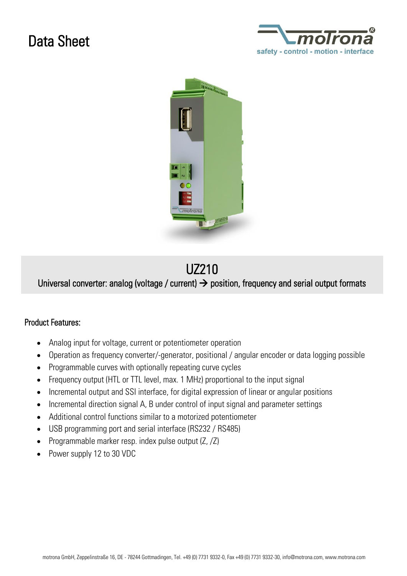## Data Sheet





## UZ210

Universal converter: analog (voltage / current)  $\rightarrow$  position, frequency and serial output formats

## Product Features:

- Analog input for voltage, current or potentiometer operation
- Operation as frequency converter/-generator, positional / angular encoder or data logging possible
- Programmable curves with optionally repeating curve cycles
- Frequency output (HTL or TTL level, max. 1 MHz) proportional to the input signal
- Incremental output and SSI interface, for digital expression of linear or angular positions
- Incremental direction signal A, B under control of input signal and parameter settings
- Additional control functions similar to a motorized potentiometer
- USB programming port and serial interface (RS232 / RS485)
- Programmable marker resp. index pulse output  $(Z, Z)$
- Power supply 12 to 30 VDC